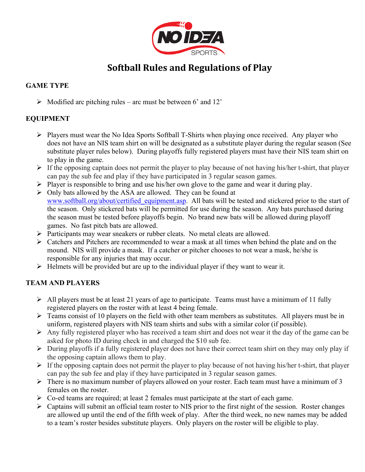

# **Softball Rules and Regulations of Play**

# **GAME TYPE**

 $\triangleright$  Modified arc pitching rules – arc must be between 6' and 12'

# **EQUIPMENT**

- $\triangleright$  Players must wear the No Idea Sports Softball T-Shirts when playing once received. Any player who does not have an NIS team shirt on will be designated as a substitute player during the regular season (See substitute player rules below). During playoffs fully registered players must have their NIS team shirt on to play in the game.
- $\triangleright$  If the opposing captain does not permit the player to play because of not having his/her t-shirt, that player can pay the sub fee and play if they have participated in 3 regular season games.
- $\triangleright$  Player is responsible to bring and use his/her own glove to the game and wear it during play.
- Ø Only bats allowed by the ASA are allowed. They can be found at www.softball.org/about/certified\_equipment.asp. All bats will be tested and stickered prior to the start of the season. Only stickered bats will be permitted for use during the season. Any bats purchased during the season must be tested before playoffs begin. No brand new bats will be allowed during playoff games. No fast pitch bats are allowed.
- Ø Participants may wear sneakers or rubber cleats. No metal cleats are allowed.
- $\triangleright$  Catchers and Pitchers are recommended to wear a mask at all times when behind the plate and on the mound. NIS will provide a mask. If a catcher or pitcher chooses to not wear a mask, he/she is responsible for any injuries that may occur.
- $\triangleright$  Helmets will be provided but are up to the individual player if they want to wear it.

# **TEAM AND PLAYERS**

- $\triangleright$  All players must be at least 21 years of age to participate. Teams must have a minimum of 11 fully registered players on the roster with at least 4 being female.
- $\triangleright$  Teams consist of 10 players on the field with other team members as substitutes. All players must be in uniform, registered players with NIS team shirts and subs with a similar color (if possible).
- $\triangleright$  Any fully registered player who has received a team shirt and does not wear it the day of the game can be asked for photo ID during check in and charged the \$10 sub fee.
- $\triangleright$  During playoffs if a fully registered player does not have their correct team shirt on they may only play if the opposing captain allows them to play.
- $\triangleright$  If the opposing captain does not permit the player to play because of not having his/her t-shirt, that player can pay the sub fee and play if they have participated in 3 regular season games.
- $\triangleright$  There is no maximum number of players allowed on your roster. Each team must have a minimum of 3 females on the roster.
- $\triangleright$  Co-ed teams are required; at least 2 females must participate at the start of each game.
- $\triangleright$  Captains will submit an official team roster to NIS prior to the first night of the session. Roster changes are allowed up until the end of the fifth week of play. After the third week, no new names may be added to a team's roster besides substitute players. Only players on the roster will be eligible to play.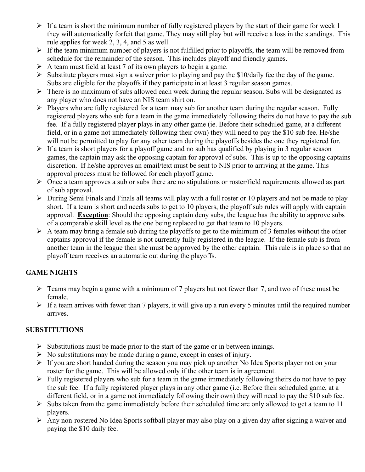- $\triangleright$  If a team is short the minimum number of fully registered players by the start of their game for week 1 they will automatically forfeit that game. They may still play but will receive a loss in the standings. This rule applies for week 2, 3, 4, and 5 as well.
- $\triangleright$  If the team minimum number of players is not fulfilled prior to playoffs, the team will be removed from schedule for the remainder of the season. This includes playoff and friendly games.
- $\triangleright$  A team must field at least 7 of its own players to begin a game.
- $\triangleright$  Substitute players must sign a waiver prior to playing and pay the \$10/daily fee the day of the game. Subs are eligible for the playoffs if they participate in at least 3 regular season games.
- $\triangleright$  There is no maximum of subs allowed each week during the regular season. Subs will be designated as any player who does not have an NIS team shirt on.
- $\triangleright$  Players who are fully registered for a team may sub for another team during the regular season. Fully registered players who sub for a team in the game immediately following theirs do not have to pay the sub fee. If a fully registered player plays in any other game (ie. Before their scheduled game, at a different field, or in a game not immediately following their own) they will need to pay the \$10 sub fee. He/she will not be permitted to play for any other team during the playoffs besides the one they registered for.
- $\triangleright$  If a team is short players for a playoff game and no sub has qualified by playing in 3 regular season games, the captain may ask the opposing captain for approval of subs. This is up to the opposing captains discretion. If he/she approves an email/text must be sent to NIS prior to arriving at the game. This approval process must be followed for each playoff game.
- $\triangleright$  Once a team approves a sub or subs there are no stipulations or roster/field requirements allowed as part of sub approval.
- Ø During Semi Finals and Finals all teams will play with a full roster or 10 players and not be made to play short. If a team is short and needs subs to get to 10 players, the playoff sub rules will apply with captain approval. **Exception**: Should the opposing captain deny subs, the league has the ability to approve subs of a comparable skill level as the one being replaced to get that team to 10 players.
- $\triangleright$  A team may bring a female sub during the playoffs to get to the minimum of 3 females without the other captains approval if the female is not currently fully registered in the league. If the female sub is from another team in the league then she must be approved by the other captain. This rule is in place so that no playoff team receives an automatic out during the playoffs.

# **GAME NIGHTS**

- $\triangleright$  Teams may begin a game with a minimum of 7 players but not fewer than 7, and two of these must be female.
- $\triangleright$  If a team arrives with fewer than 7 players, it will give up a run every 5 minutes until the required number arrives.

# **SUBSTITUTIONS**

- $\triangleright$  Substitutions must be made prior to the start of the game or in between innings.
- $\triangleright$  No substitutions may be made during a game, except in cases of injury.
- $\triangleright$  If you are short handed during the season you may pick up another No Idea Sports player not on your roster for the game. This will be allowed only if the other team is in agreement.
- $\triangleright$  Fully registered players who sub for a team in the game immediately following theirs do not have to pay the sub fee. If a fully registered player plays in any other game (i.e. Before their scheduled game, at a different field, or in a game not immediately following their own) they will need to pay the \$10 sub fee.
- $\triangleright$  Subs taken from the game immediately before their scheduled time are only allowed to get a team to 11 players.
- $\triangleright$  Any non-rostered No Idea Sports softball player may also play on a given day after signing a waiver and paying the \$10 daily fee.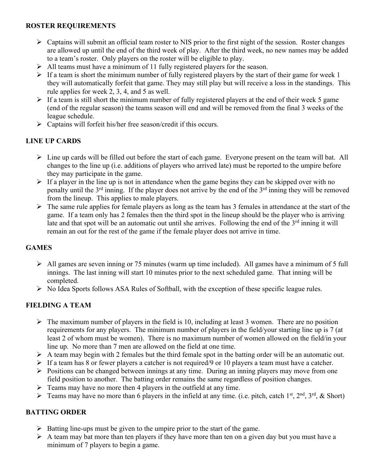## **ROSTER REQUIREMENTS**

- $\triangleright$  Captains will submit an official team roster to NIS prior to the first night of the session. Roster changes are allowed up until the end of the third week of play. After the third week, no new names may be added to a team's roster. Only players on the roster will be eligible to play.
- $\triangleright$  All teams must have a minimum of 11 fully registered players for the season.
- $\triangleright$  If a team is short the minimum number of fully registered players by the start of their game for week 1 they will automatically forfeit that game. They may still play but will receive a loss in the standings. This rule applies for week 2, 3, 4, and 5 as well.
- $\triangleright$  If a team is still short the minimum number of fully registered players at the end of their week 5 game (end of the regular season) the teams season will end and will be removed from the final 3 weeks of the league schedule.
- $\triangleright$  Captains will forfeit his/her free season/credit if this occurs.

## **LINE UP CARDS**

- $\triangleright$  Line up cards will be filled out before the start of each game. Everyone present on the team will bat. All changes to the line up (i.e. additions of players who arrived late) must be reported to the umpire before they may participate in the game.
- $\triangleright$  If a player in the line up is not in attendance when the game begins they can be skipped over with no penalty until the 3rd inning. If the player does not arrive by the end of the 3rd inning they will be removed from the lineup. This applies to male players.
- $\triangleright$  The same rule applies for female players as long as the team has 3 females in attendance at the start of the game. If a team only has 2 females then the third spot in the lineup should be the player who is arriving late and that spot will be an automatic out until she arrives. Following the end of the 3<sup>rd</sup> inning it will remain an out for the rest of the game if the female player does not arrive in time.

## **GAMES**

- $\triangleright$  All games are seven inning or 75 minutes (warm up time included). All games have a minimum of 5 full innings. The last inning will start 10 minutes prior to the next scheduled game. That inning will be completed.
- $\triangleright$  No Idea Sports follows ASA Rules of Softball, with the exception of these specific league rules.

# **FIELDING A TEAM**

- $\triangleright$  The maximum number of players in the field is 10, including at least 3 women. There are no position requirements for any players. The minimum number of players in the field/your starting line up is 7 (at least 2 of whom must be women). There is no maximum number of women allowed on the field/in your line up. No more than 7 men are allowed on the field at one time.
- $\triangleright$  A team may begin with 2 females but the third female spot in the batting order will be an automatic out.
- $\triangleright$  If a team has 8 or fewer players a catcher is not required/9 or 10 players a team must have a catcher.
- $\triangleright$  Positions can be changed between innings at any time. During an inning players may move from one field position to another. The batting order remains the same regardless of position changes.
- $\triangleright$  Teams may have no more then 4 players in the outfield at any time.
- **Exams may have no more than 6 players in the infield at any time.** (i.e. pitch, catch 1<sup>st</sup>, 2<sup>nd</sup>, 3<sup>rd</sup>, & Short)

## **BATTING ORDER**

- $\triangleright$  Batting line-ups must be given to the umpire prior to the start of the game.
- $\triangleright$  A team may bat more than ten players if they have more than ten on a given day but you must have a minimum of 7 players to begin a game.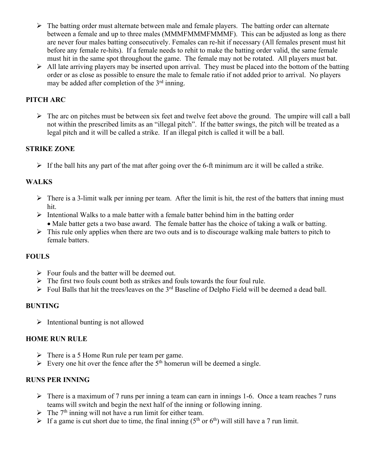- $\triangleright$  The batting order must alternate between male and female players. The batting order can alternate between a female and up to three males (MMMFMMMFMMMF). This can be adjusted as long as there are never four males batting consecutively. Females can re-hit if necessary (All females present must hit before any female re-hits). If a female needs to rehit to make the batting order valid, the same female must hit in the same spot throughout the game. The female may not be rotated. All players must bat.
- $\triangleright$  All late arriving players may be inserted upon arrival. They must be placed into the bottom of the batting order or as close as possible to ensure the male to female ratio if not added prior to arrival. No players may be added after completion of the  $3<sup>rd</sup>$  inning.

### **PITCH ARC**

 $\triangleright$  The arc on pitches must be between six feet and twelve feet above the ground. The umpire will call a ball not within the prescribed limits as an "illegal pitch". If the batter swings, the pitch will be treated as a legal pitch and it will be called a strike. If an illegal pitch is called it will be a ball.

#### **STRIKE ZONE**

 $\triangleright$  If the ball hits any part of the mat after going over the 6-ft minimum arc it will be called a strike.

#### **WALKS**

- $\triangleright$  There is a 3-limit walk per inning per team. After the limit is hit, the rest of the batters that inning must hit.
- $\triangleright$  Intentional Walks to a male batter with a female batter behind him in the batting order • Male batter gets a two base award. The female batter has the choice of taking a walk or batting.
- $\triangleright$  This rule only applies when there are two outs and is to discourage walking male batters to pitch to female batters.

#### **FOULS**

- $\triangleright$  Four fouls and the batter will be deemed out.
- $\triangleright$  The first two fouls count both as strikes and fouls towards the four foul rule.
- $\triangleright$  Foul Balls that hit the trees/leaves on the 3<sup>rd</sup> Baseline of Delpho Field will be deemed a dead ball.

#### **BUNTING**

 $\triangleright$  Intentional bunting is not allowed

#### **HOME RUN RULE**

- $\triangleright$  There is a 5 Home Run rule per team per game.
- $\triangleright$  Every one hit over the fence after the 5<sup>th</sup> homerun will be deemed a single.

#### **RUNS PER INNING**

- $\triangleright$  There is a maximum of 7 runs per inning a team can earn in innings 1-6. Once a team reaches 7 runs teams will switch and begin the next half of the inning or following inning.
- $\triangleright$  The 7<sup>th</sup> inning will not have a run limit for either team.
- $\triangleright$  If a game is cut short due to time, the final inning (5<sup>th</sup> or 6<sup>th</sup>) will still have a 7 run limit.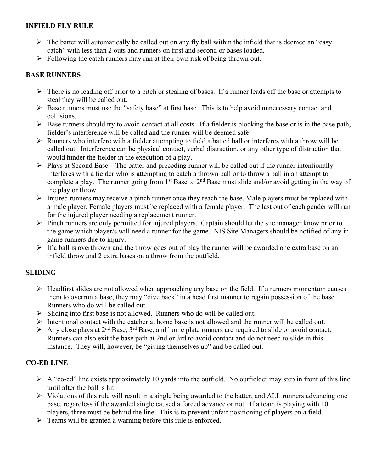#### **INFIELD FLY RULE**

- $\triangleright$  The batter will automatically be called out on any fly ball within the infield that is deemed an "easy" catch" with less than 2 outs and runners on first and second or bases loaded.
- $\triangleright$  Following the catch runners may run at their own risk of being thrown out.

## **BASE RUNNERS**

- $\triangleright$  There is no leading off prior to a pitch or stealing of bases. If a runner leads off the base or attempts to steal they will be called out.
- Ø Base runners must use the "safety base" at first base. This is to help avoid unnecessary contact and collisions.
- $\triangleright$  Base runners should try to avoid contact at all costs. If a fielder is blocking the base or is in the base path, fielder's interference will be called and the runner will be deemed safe.
- $\triangleright$  Runners who interfere with a fielder attempting to field a batted ball or interferes with a throw will be called out. Interference can be physical contact, verbal distraction, or any other type of distraction that would hinder the fielder in the execution of a play.
- $\triangleright$  Plays at Second Base The batter and preceding runner will be called out if the runner intentionally interferes with a fielder who is attempting to catch a thrown ball or to throw a ball in an attempt to complete a play. The runner going from 1<sup>st</sup> Base to 2<sup>nd</sup> Base must slide and/or avoid getting in the way of the play or throw.
- $\triangleright$  Injured runners may receive a pinch runner once they reach the base. Male players must be replaced with a male player. Female players must be replaced with a female player. The last out of each gender will run for the injured player needing a replacement runner.
- $\triangleright$  Pinch runners are only permitted for injured players. Captain should let the site manager know prior to the game which player/s will need a runner for the game. NIS Site Managers should be notified of any in game runners due to injury.
- $\triangleright$  If a ball is overthrown and the throw goes out of play the runner will be awarded one extra base on an infield throw and 2 extra bases on a throw from the outfield.

# **SLIDING**

- $\triangleright$  Headfirst slides are not allowed when approaching any base on the field. If a runners momentum causes them to overrun a base, they may "dive back" in a head first manner to regain possession of the base. Runners who do will be called out.
- $\triangleright$  Sliding into first base is not allowed. Runners who do will be called out.
- Ø Intentional contact with the catcher at home base is not allowed and the runner will be called out.
- $\triangleright$  Any close plays at 2<sup>nd</sup> Base, 3<sup>rd</sup> Base, and home plate runners are required to slide or avoid contact. Runners can also exit the base path at 2nd or 3rd to avoid contact and do not need to slide in this instance. They will, however, be "giving themselves up" and be called out.

# **CO-ED LINE**

- $\triangleright$  A "co-ed" line exists approximately 10 yards into the outfield. No outfielder may step in front of this line until after the ball is hit.
- $\triangleright$  Violations of this rule will result in a single being awarded to the batter, and ALL runners advancing one base, regardless if the awarded single caused a forced advance or not. If a team is playing with 10 players, three must be behind the line. This is to prevent unfair positioning of players on a field.
- $\triangleright$  Teams will be granted a warning before this rule is enforced.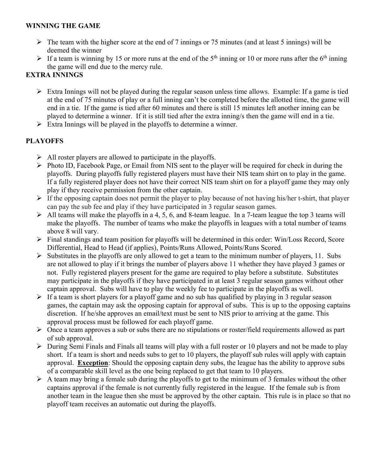#### **WINNING THE GAME**

- $\triangleright$  The team with the higher score at the end of 7 innings or 75 minutes (and at least 5 innings) will be deemed the winner
- $\triangleright$  If a team is winning by 15 or more runs at the end of the 5<sup>th</sup> inning or 10 or more runs after the 6<sup>th</sup> inning the game will end due to the mercy rule.

## **EXTRA INNINGS**

- $\triangleright$  Extra Innings will not be played during the regular season unless time allows. Example: If a game is tied at the end of 75 minutes of play or a full inning can't be completed before the allotted time, the game will end in a tie. If the game is tied after 60 minutes and there is still 15 minutes left another inning can be played to determine a winner. If it is still tied after the extra inning/s then the game will end in a tie.
- $\triangleright$  Extra Innings will be played in the playoffs to determine a winner.

## **PLAYOFFS**

- $\triangleright$  All roster players are allowed to participate in the playoffs.
- $\triangleright$  Photo ID, Facebook Page, or Email from NIS sent to the player will be required for check in during the playoffs. During playoffs fully registered players must have their NIS team shirt on to play in the game. If a fully registered player does not have their correct NIS team shirt on for a playoff game they may only play if they receive permission from the other captain.
- $\triangleright$  If the opposing captain does not permit the player to play because of not having his/her t-shirt, that player can pay the sub fee and play if they have participated in 3 regular season games.
- $\triangleright$  All teams will make the playoffs in a 4, 5, 6, and 8-team league. In a 7-team league the top 3 teams will make the playoffs. The number of teams who make the playoffs in leagues with a total number of teams above 8 will vary.
- Ø Final standings and team position for playoffs will be determined in this order: Win/Loss Record, Score Differential, Head to Head (if applies), Points/Runs Allowed, Points/Runs Scored.
- $\triangleright$  Substitutes in the playoffs are only allowed to get a team to the minimum number of players, 11. Subs are not allowed to play if it brings the number of players above 11 whether they have played 3 games or not. Fully registered players present for the game are required to play before a substitute. Substitutes may participate in the playoffs if they have participated in at least 3 regular season games without other captain approval. Subs will have to play the weekly fee to participate in the playoffs as well.
- $\triangleright$  If a team is short players for a playoff game and no sub has qualified by playing in 3 regular season games, the captain may ask the opposing captain for approval of subs. This is up to the opposing captains discretion. If he/she approves an email/text must be sent to NIS prior to arriving at the game. This approval process must be followed for each playoff game.
- $\triangleright$  Once a team approves a sub or subs there are no stipulations or roster/field requirements allowed as part of sub approval.
- $\triangleright$  During Semi Finals and Finals all teams will play with a full roster or 10 players and not be made to play short. If a team is short and needs subs to get to 10 players, the playoff sub rules will apply with captain approval. **Exception**: Should the opposing captain deny subs, the league has the ability to approve subs of a comparable skill level as the one being replaced to get that team to 10 players.
- $\triangleright$  A team may bring a female sub during the playoffs to get to the minimum of 3 females without the other captains approval if the female is not currently fully registered in the league. If the female sub is from another team in the league then she must be approved by the other captain. This rule is in place so that no playoff team receives an automatic out during the playoffs.